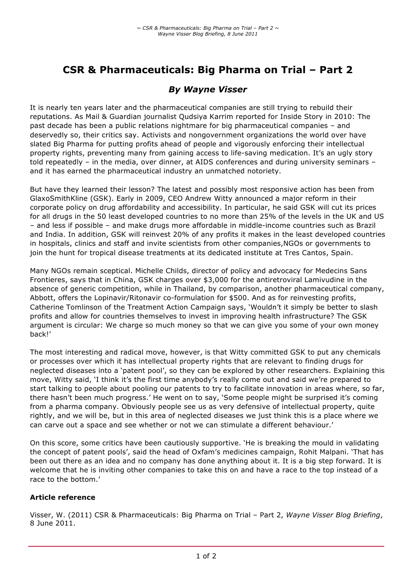# **CSR & Pharmaceuticals: Big Pharma on Trial – Part 2**

## *By Wayne Visser*

It is nearly ten years later and the pharmaceutical companies are still trying to rebuild their reputations. As Mail & Guardian journalist Qudsiya Karrim reported for Inside Story in 2010: The past decade has been a public relations nightmare for big pharmaceutical companies – and deservedly so, their critics say. Activists and nongovernment organizations the world over have slated Big Pharma for putting profits ahead of people and vigorously enforcing their intellectual property rights, preventing many from gaining access to life-saving medication. It's an ugly story told repeatedly – in the media, over dinner, at AIDS conferences and during university seminars – and it has earned the pharmaceutical industry an unmatched notoriety.

But have they learned their lesson? The latest and possibly most responsive action has been from GlaxoSmithKline (GSK). Early in 2009, CEO Andrew Witty announced a major reform in their corporate policy on drug affordability and accessibility. In particular, he said GSK will cut its prices for all drugs in the 50 least developed countries to no more than 25% of the levels in the UK and US – and less if possible – and make drugs more affordable in middle-income countries such as Brazil and India. In addition, GSK will reinvest 20% of any profits it makes in the least developed countries in hospitals, clinics and staff and invite scientists from other companies,NGOs or governments to join the hunt for tropical disease treatments at its dedicated institute at Tres Cantos, Spain.

Many NGOs remain sceptical. Michelle Childs, director of policy and advocacy for Medecins Sans Frontieres, says that in China, GSK charges over \$3,000 for the antiretroviral Lamivudine in the absence of generic competition, while in Thailand, by comparison, another pharmaceutical company, Abbott, offers the Lopinavir/Ritonavir co-formulation for \$500. And as for reinvesting profits, Catherine Tomlinson of the Treatment Action Campaign says, 'Wouldn't it simply be better to slash profits and allow for countries themselves to invest in improving health infrastructure? The GSK argument is circular: We charge so much money so that we can give you some of your own money back!'

The most interesting and radical move, however, is that Witty committed GSK to put any chemicals or processes over which it has intellectual property rights that are relevant to finding drugs for neglected diseases into a 'patent pool', so they can be explored by other researchers. Explaining this move, Witty said, 'I think it's the first time anybody's really come out and said we're prepared to start talking to people about pooling our patents to try to facilitate innovation in areas where, so far, there hasn't been much progress.' He went on to say, 'Some people might be surprised it's coming from a pharma company. Obviously people see us as very defensive of intellectual property, quite rightly, and we will be, but in this area of neglected diseases we just think this is a place where we can carve out a space and see whether or not we can stimulate a different behaviour.'

On this score, some critics have been cautiously supportive. 'He is breaking the mould in validating the concept of patent pools', said the head of Oxfam's medicines campaign, Rohit Malpani. 'That has been out there as an idea and no company has done anything about it. It is a big step forward. It is welcome that he is inviting other companies to take this on and have a race to the top instead of a race to the bottom.'

## **Article reference**

Visser, W. (2011) CSR & Pharmaceuticals: Big Pharma on Trial – Part 2, *Wayne Visser Blog Briefing*, 8 June 2011.